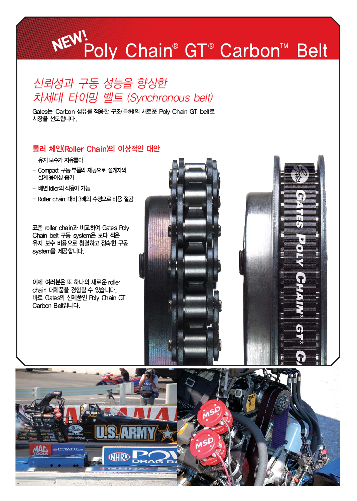# NEW!<br>
NEW!<br>
Poly Chain® GT® Carbon™ Belt

### 신뢰성과 구동 성능을 향상한 차세대 타이밍 벨트 (Synchronous belt)

Gates는 Carbon 섬유를 적용한 구조(특허)의 새로운 Poly Chain GT belt로 시장을 선도합니다.

#### 롤러 체인(Roller Chain)의 이상적인 대안

- 유지 보수가 자유롭다
- Compact 구동 부품의 제공으로 설계자의 설계용이성 증가
- 배면 Idler의 적용이 가능
- Roller chain 대비 3배의 수명으로 비용 절감

표준 roller chain과 비교하여 Gates Polv Chain belt 구동 system은 보다 적은 유지 보수 비용으로 청결하고 정숙한 구동 svstem을 제공합니다.

이제 여러분은 또 하나의 새로운 roller chain 대체품을 경험할 수 있습니다. 바로 Gates의 신제품인 Poly Chain GT Carbon Belt입니다.



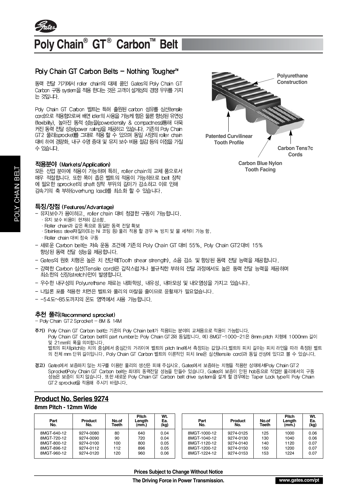

#### Poly Chain<sup>®</sup> GT<sup>®</sup> Carbon<sup>™</sup> **Belt**

#### Poly Chain GT Carbon Belts - Nothing Tougher<sup>™</sup>

동력 전달 기기에서 roller chain의 대체 품인 Gates의 Poly Chain GT Carbon 구동 system을 적용 한다는 것은 고객이 설계상의 경쟁 우위를 가지 는 것입니다.

Poly Chain GT Carbon 벨트는 특허 출원된 carbon 섬유를 심선(tensile cord)으로 적용함으로써 배면 idler의 사용을 가능케 함은 물론 향상된 유연성 (flexibility), 높아진 동적 성능을(powerdensity & compactness)통해 더욱 커진 동력 전달 성능(power raing)을 제공하고 있습니다. 기존의 Poly Chain GT2 풀리(sprocket)를 그대로 적용 할 수 있으며 동일 사양의 roller chain 대비 하여 경량화, 내구 수명 증대 및 유지 보수 비용 절감 등의 이점을 가질 수 있습니다.

#### 적용분야 (Markets/Application)

모든 산업 분야에 적용이 가능하며 특히, roller chain의 교체 품으로서 매우 적절합니다. 또한 폭이 좁은 벨트의 적용이 가능하므로 belt 장착 에 필요한 sprocket의 shaft 장착 부위의 길이가 감소하고 이로 인해 감속기의 축 부하(overhung load)를 최소화 할 수 있습니다.

#### 특징/장점 (Features/Advantage)

- 유지보수가 용이하고, roller chain 대비 청결한 구동이 가능합니다.
	- ..<br>· 유지 보수 비용이 현저히 감소함.
	- · Roller chain과 같은 폭으로 동일한 동력 전달 확보
	- · Stainless steel재질의 (또는 Ni 코팅 등) 풀리 적용 할 경우 녹 방지 및 물 세척이 가능 함.
	- Roller chain 대비 정숙 구동
- 새로운 Carbon belt는 저속 운동 조건에 기존의 Poly Chain GT 대비 55%, Poly Chain GT2대비 15% 향상된 동력 전달 성능을 제공합니다.
- Gates의 원호 치형은 높은 치 전단롁(Tooth shear strength), 소음 감소 및 향상된 동력 전달 능력을 제공합니다.
- 강력한 Carbon 심선(Tensile cord)은 갑작스럽거나 불규칙한 부하의 전달 과정에서도 높은 동력 전달 능력을 제공하며 최소한의 신장(stretch)만이 발생합니다.
- 우수한 내구성의 Polyurethane 재료는 내화학성, 내유성, 내마모성 및 내오염성을 가지고 있습니다.
- 나일론 포를 적용한 치면은 벨트와 풀리의 마찰을 줄이므로 윤활재가 필요없습니다.
- - 54도~85도까지의 온도 영역에서 사용 가능합니다.

#### 추천 풀리(Recommend sprocket)

- Poly Chain GT2 Sprocket - 8M & 14M

- 주기) Poly Chain GT Carbon belt는 기존의 Poly Chain belt가 적용되는 분야의 교체용으로 적용이 가능합니다.
	- Poly Chain GT Carbon belt의 part number는 Poly Chain GT2와 동일합니다. 예) 8MGT-1000-21은 8mm pitch 치형에 1000mm 길이 및 21mm의 폭을 의미합니다.

벨트의 피치(pitch)는 치의 중심에서 중심간의 거리이며 벨트의 pitch line에서 측정되는 값입니다.벨트의 피치 길이는 피치 라인을 따라 측정된 벨트 의 전체 mm 단위 길이입니다. Poly Chain GT Carbon 벨트의 이론적인 피치 line은 심선(tensile cord)과 동일 선상에 있다고 볼 수 있습니다.

경고) Gabs에서 보증하지 않는 치구를 이용한 풀리의 생산은 피해 주십시오. Gates에서 보증하는 치형을 적용한 상태에서(Poly Chain GT2 Sprocket)Poly Chain GT Carbon belt는 최대의 동력전달 성능을 만들수 있습니다. Gates의 보증이 안된 hob등으로 작업한 풀리에서의 구동<br>성능은 보증이 되지 않습니다. 또한 새로운 Poly Chain GT Carbon belt drive system을 설계 할 경우에는 Taper Lock type의 Poly Chain GT2 sprocket을 적용해 주시기 바랍니다.

#### **Product No. Series 9274**

#### 8mm Pitch - 12mm Wide

| Part<br>No. | Product<br>No. | No.of<br>Teeth | Pitch<br>Lenath<br>(mm.) | Wt.<br>Ea.<br>(kg) | Part<br>No.  | Product<br>No. | No.of<br>Teeth | <b>Pitch</b><br>Lenath<br>(mm.) | Wt.<br>Ea.<br>(kg) |
|-------------|----------------|----------------|--------------------------|--------------------|--------------|----------------|----------------|---------------------------------|--------------------|
| 8MGT-640-12 | 9274-0080      | 80             | 640                      | 0.04               | 8MGT-1000-12 | 9274-0125      | 125            | 1000                            | 0.06               |
| 8MGT-720-12 | 9274-0090      | 90             | 720                      | 0.04               | 8MGT-1040-12 | 9274-0130      | 130            | 1040                            | 0.06               |
| 8MGT-800-12 | 9274-0100      | 100            | 800                      | 0.05               | 8MGT-1120-12 | 9274-0140      | 140            | 1120                            | 0.07               |
| 8MGT-896-12 | 9274-0112      | 112            | 896                      | 0.05               | 8MGT-1200-12 | 9274-0150      | 150            | 1200                            | 0.07               |
| 8MGT-960-12 | 9274-0120      | 120            | 960                      | 0.06               | 8MGT-1224-12 | 9274-0153      | 153            | 1224                            | 0.07               |



**Tooth Facing**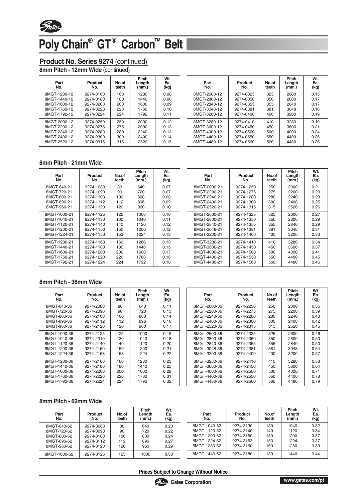

## Poly Chain<sup>®</sup> GT<sup>®</sup> Carbon<sup>™</sup> Belt

#### **Product No. Series 9274** *(continued)*

**8mm Pitch - 12mm Wide** *(continued)*

| Part<br>No.  | Product<br>No. | No.of<br>teeth | <b>Pitch</b><br>Length<br>(mm.) | Wt.<br>Ea.<br>(kg) |
|--------------|----------------|----------------|---------------------------------|--------------------|
| 8MGT-1280-12 | 9274-0160      | 160            | 1280                            | 0.08               |
| 8MGT-1440-12 | 9274-0180      | 180            | 1440                            | 0.08               |
| 8MGT-1600-12 | 9274-0200      | 200            | 1600                            | 0.09               |
| 8MGT-1760-12 | 9274-0220      | 220            | 1760                            | 0.10               |
| 8MGT-1792-12 | 9274-0224      | 224            | 1792                            | 0.11               |
| 8MGT-2000-12 | 9274-0250      | 250            | 2000                            | 0.12               |
| 8MGT-2200-12 | 9274-0275      | 275            | 2000                            | 0.13               |
| 8MGT-2240-12 | 9274-0280      | 280            | 2240                            | 0.13               |
| 8MGT-2400-12 | 9274-0300      | 300            | 2400                            | 0.14               |
| 8MGT-2520-12 | 9274-0315      | 315            | 2520                            | 0.15               |

| Part<br>No.  | Product<br>No. | No.of<br>teeth | Pitch<br>Length<br>(mm.) | Wt.<br>Ea.<br>(kg) |
|--------------|----------------|----------------|--------------------------|--------------------|
| 8MGT-2600-12 | 9274-0325      | 325            | 2600                     | 0.15               |
| 8MGT-2800-12 | 9274-0350      | 350            | 2800                     | 0.17               |
| 8MGT-2840-12 | 9274-0355      | 355            | 2840                     | 0.17               |
| 8MGT-3048-12 | 9274-0381      | 381            | 3048                     | 0.18               |
| 8MGT-3200-12 | 9274-0400      | 400            | 3200                     | 0.19               |
| 8MGT-3280-12 | 9274-0410      | 410            | 3280                     | 0.19               |
| 8MGT-3600-12 | 9274-0450      | 450            | 3600                     | 0.21               |
| 8MGT-4000-12 | 9274-0500      | 500            | 4000                     | 0.24               |
| 8MGT-4400-12 | 9274-0550      | 550            | 4400                     | 0.26               |
| 8MGT-4480-12 | 9274-0560      | 560            | 4480                     | 0.26               |
|              |                |                |                          |                    |

#### **8mm Pitch - 21mm Wide**

| Part<br>No.  | <b>Product</b><br>No. | No.of<br>teeth | <b>Pitch</b><br>Length<br>(mm.) | Wt.<br>Ea.<br>(kg) |
|--------------|-----------------------|----------------|---------------------------------|--------------------|
| 8MGT-640-21  | 9274-1080             | 80             | 640                             | 0.07               |
| 8MGT-720-21  | 9274-1090             | 90             | 720                             | 0.07               |
| 8MGT-800-21  | 9274-1100             | 100            | 800                             | 0.08               |
| 8MGT-896-21  | 9274-1112             | 112            | 896                             | 0.09               |
| 8MGT-960-21  | 9274-1120             | 120            | 960                             | 0.10               |
| 8MGT-1000-21 | 9274-1125             | 125            | 1000                            | 0.10               |
| 8MGT-1040-21 | 9274-1130             | 130            | 1040                            | 0.11               |
| 8MGT-1120-21 | 9274-1140             | 140            | 1120                            | 0.12               |
| 8MGT-1200-21 | 9274-1150             | 150            | 1200                            | 0.12               |
| 8MGT-1224-21 | 9274-1153             | 153            | 1224                            | 0.13               |
| 8MGT-1280-21 | 9274-1160             | 160            | 1280                            | 0.13               |
| 8MGT-1440-21 | 9274-1180             | 180            | 1440                            | 0.15               |
| 8MGT-1600-21 | 9274-1200             | 200            | 1600                            | 0.17               |
| 8MGT-1760-21 | 9274-1220             | 220            | 1760                            | 0.18               |
| 8MGT-1792-21 | 9274-1224             | 224            | 1792                            | 0.18               |
|              |                       |                |                                 |                    |

| Part<br>No.  | Product<br>No. | No.of<br>teeth | <b>Pitch</b><br>Length<br>(mm.) | Wt.<br>Ea.<br>(kg) |
|--------------|----------------|----------------|---------------------------------|--------------------|
| 8MGT-2000-21 | 9274-1250      | 250            | 2000                            | 0.21               |
| 8MGT-2200-21 | 9274-1275      | 275            | 2200                            | 0.23               |
| 8MGT-2240-21 | 9274-1280      | 280            | 2240                            | 0.23               |
| 8MGT-2400-21 | 9274-1300      | 300            | 2400                            | 0.25               |
| 8MGT-2520-21 | 9274-1315      | 315            | 2520                            | 0.26               |
| 8MGT-2600-21 | 9274-1325      | 325            | 2600                            | 0.27               |
| 8MGT-2800-21 | 9274-1350      | 350            | 2800                            | 0.29               |
| 8MGT-2840-21 | 9274-1355      | 355            | 2840                            | 0.29               |
| 8MGT-3048-21 | 9274-1381      | 381            | 3048                            | 0.31               |
| 8MGT-3200-21 | 9274-1400      | 400            | 3200                            | 0.33               |
| 8MGT-3280-21 | 9274-1410      | 410            | 3280                            | 0.34               |
| 8MGT-3600-21 | 9274-1450      | 450            | 3600                            | 0.37               |
| 8MGT-4000-21 | 9274-1500      | 500            | 4000                            | 0.41               |
| 8MGT-4400-21 | 9274-1550      | 550            | 4400                            | 0.45               |
| 8MGT-4480-21 | 9274-1560      | 560            | 4480                            | 0.46               |

#### **8mm Pitch - 36mm Wide**

| Part<br>No.  | Product<br>No. | No.of<br>teeth | Pitch<br>Length<br>(mm.) | Wt.<br>Ea.<br>(kg) |
|--------------|----------------|----------------|--------------------------|--------------------|
| 8MGT-640-36  | 9274-2080      | 80             | 640                      | 0.11               |
| 8MGT-720-36  | 9274-2090      | 90             | 720                      | 0.13               |
| 8MGT-800-36  | 9274-2100      | 100            | 800                      | 0.14               |
| 8MGT-896-36  | 9274-2112      | 112            | 896                      | 0.16               |
| 8MGT-960-36  | 9274-2120      | 120            | 960                      | 0.17               |
| 8MGT-1000-36 | 9274-2125      | 125            | 1000                     | 0.18               |
| 8MGT-1040-36 | 9274-2310      | 130            | 1040                     | 0.18               |
| 8MGT-1120-36 | 9274-2140      | 140            | 1120                     | 0.20               |
| 8MGT-1200-36 | 9274-2150      | 150            | 1200                     | 0.21               |
| 8MGT-1224-36 | 9274-2153      | 153            | 1224                     | 0.22               |
| 8MGT-1280-36 | 9274-2160      | 160            | 1280                     | 0.23               |
| 8MGT-1440-36 | 9274-2180      | 180            | 1440                     | 0.25               |
| 8MGT-1600-36 | 9274-2200      | 200            | 1600                     | 0.28               |
| 8MGT-1760-36 | 9274-2220      | 220            | 1760                     | 0.31               |
| 8MGT-1792-36 | 9274-2224      | 224            | 1792                     | 0.32               |

| Part<br>No.  | Product<br>No. | No.of<br>teeth | <b>Pitch</b><br>Length<br>(mm.) | Wt.<br>Ea.<br>(kg) |
|--------------|----------------|----------------|---------------------------------|--------------------|
| 8MGT-2000-36 | 9274-2250      | 250            | 2000                            | 0.35               |
| 8MGT-2200-36 | 9274-2275      | 275            | 2200                            | 0.39               |
| 8MGT-2240-36 | 9274-2280      | 280            | 2240                            | 0.40               |
| 8MGT-2400-36 | 9274-2300      | 300            | 2400                            | 0.42               |
| 8MGT-2520-36 | 9274-2315      | 315            | 2520                            | 0.45               |
| 8MGT-2600-36 | 9274-2325      | 325            | 2600                            | 0.46               |
| 8MGT-2800-36 | 9274-2350      | 350            | 2800                            | 0.50               |
| 8MGT-2840-36 | 9274-2355      | 355            | 2840                            | 0.50               |
| 8MGT-3048-36 | 9274-2381      | 381            | 3048                            | 0.54               |
| 8MGT-3200-36 | 9274-2400      | 400            | 3200                            | 0.57               |
| 8MGT-3280-36 | 9274-2410      | 410            | 3280                            | 0.58               |
| 8MGT-3600-36 | 9274-2450      | 450            | 3600                            | 0.64               |
| 8MGT-4000-36 | 9274-2500      | 500            | 4000                            | 0.71               |
| 8MGT-4400-36 | 9274-2550      | 550            | 4400                            | 0.78               |
| 8MGT-4480-36 | 9274-2560      | 560            | 4480                            | 0.79               |

#### **8mm Pitch - 62mm Wide**

| Part<br>No.  | <b>Product</b><br>No. | No.of<br>teeth | <b>Pitch</b><br>Length<br>(mm.) | Wt.<br>Ea.<br>(kg) | Part<br>No.  | Product<br>No. | No.of<br>teeth | <b>Pitch</b><br>Length<br>(mm.) | Wt.<br>Ea.<br>(kg) |
|--------------|-----------------------|----------------|---------------------------------|--------------------|--------------|----------------|----------------|---------------------------------|--------------------|
| 8MGT-640-62  | 9274-3080             | 80             | 640                             | 0.20               | 8MGT-1040-62 | 9274-3130      | 130            | 1040                            | 0.32               |
| 8MGT-720-62  | 9274-3090             | 90             | 720                             | 0.22               | 8MGT-1120-62 | 9274-3140      | 140            | 1120                            | 0.34               |
| 8MGT-800-62  | 9274-3100             | 100            | 800                             | 0.24               | 8MGT-1200-62 | 9274-3150      | 150            | 1200                            | 0.37               |
| 8MGT-896-62  | 9274-3112             | 112            | 896                             | 0.27               | 8MGT-1224-62 | 9274-3153      | 153            | 1224                            | 0.37               |
| 8MGT-960-62  | 9274-3120             | 120            | 960                             | 0.29               | 8MGT-1280-62 | 9274-3160      | 160            | 1280                            | 0.39               |
| 8MGT-1000-62 | 9274-3125             | 125            | 1000                            | 0.30               | 8MGT-1440-62 | 9274-3180      | 180            | 1440                            | 0.44               |

**Prices Subject to Change Without Notice**

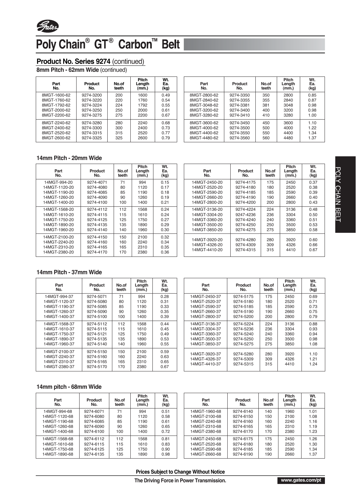

## Poly Chain<sup>®</sup> GT<sup>®</sup> Carbon<sup>™</sup> Belt

#### **Product No. Series 9274** *(continued)*

**8mm Pitch - 62mm Wide** *(continued)*

| Product<br>No. | No.of<br>teeth | <b>Pitch</b><br>Length<br>(mm.) | Wt.<br>Ea.<br>(kg) |
|----------------|----------------|---------------------------------|--------------------|
| 9274-3200      | 200            | 1600                            | 0.49               |
| 9274-3220      | 220            | 1760                            | 0.54               |
| 9274-3224      | 224            | 1792                            | 0.55               |
| 9274-3250      | 250            | 2000                            | 0.61               |
| 9274-3275      | 275            | 2200                            | 0.67               |
| 9274-3280      | 280            | 2240                            | 0.68               |
| 9274-3300      | 300            | 2400                            | 0.73               |
| 9274-3315      | 315            | 2520                            | 0.77               |
| 9274-3325      | 325            | 2600                            | 0.79               |
|                |                |                                 |                    |

| Part<br>No.  | Product<br>No. | No.of<br>teeth | <b>Pitch</b><br>Length<br>(mm.) | Wt.<br>Ea.<br>(kg) |
|--------------|----------------|----------------|---------------------------------|--------------------|
| 8MGT-2800-62 | 9274-3350      | 350            | 2800                            | 0.85               |
| 8MGT-2840-62 | 9274-3355      | 355            | 2840                            | 0.87               |
| 8MGT-3048-62 | 9274-3381      | 381            | 3048                            | 0.98               |
| 8MGT-3200-62 | 9274-3400      | 400            | 3200                            | 0.98               |
| 8MGT-3280-62 | 9274-3410      | 410            | 3280                            | 1.00               |
| 8MGT-3600-62 | 9274-3450      | 450            | 3600                            | 1.10               |
| 8MGT-4000-62 | 9274-3500      | 500            | 4000                            | 1.22               |
| 8MGT-4400-62 | 9274-3550      | 550            | 4400                            | 1.34               |
| 8MGT-4480-62 | 9274-3560      | 560            | 4480                            | 1.37               |

#### **14mm Pitch - 20mm Wide**

| Part<br>No.   | Product<br>No. | No.of<br>teeth | <b>Pitch</b><br>Length<br>(mm.) | Wt.<br>Ea.<br>(kg) |
|---------------|----------------|----------------|---------------------------------|--------------------|
| 14MGT-994-20  | 9274-4071      | 71             | 994                             | 0.15               |
| 14MGT-1120-20 | 9274-4080      | 80             | 1120                            | 0.17               |
| 14MGT-1190-20 | 9274-4085      | 85             | 1190                            | 0.18               |
| 14MGT-1260-20 | 9274-4090      | 90             | 1260                            | 0.19               |
| 14MGT-1400-20 | 9274-4100      | 100            | 1400                            | 0.21               |
| 14MGT-1568-20 | 9274-4112      | 112            | 1568                            | 0.24               |
| 14MGT-1610-20 | 9274-4115      | 115            | 1610                            | 0.24               |
| 14MGT-1750-20 | 9274-4125      | 125            | 1750                            | 0.27               |
| 14MGT-1890-20 | 9274-4135      | 135            | 1890                            | 0.29               |
| 14MGT-1960-20 | 9274-4140      | 140            | 1960                            | 0.30               |
| 14MGT-2100-20 | 9274-4150      | 150            | 2100                            | 0.32               |
| 14MGT-2240-20 | 9274-4160      | 160            | 2240                            | 0.34               |
| 14MGT-2310-20 | 9274-4165      | 165            | 2310                            | 0.35               |
| 14MGT-2380-20 | 9274-4170      | 170            | 2380                            | 0.36               |

| Part<br>No.   | Product<br>No. | No.of<br>teeth | <b>Pitch</b><br>Length<br>(mm.) | Wt.<br>Ea.<br>(kg) |
|---------------|----------------|----------------|---------------------------------|--------------------|
| 14MGT-2450-20 | 9274-4175      | 175            | 2450                            | 0.37               |
| 14MGT-2520-20 | 9274-4180      | 180            | 2520                            | 0.38               |
| 14MGT-2590-20 | 9274-4185      | 185            | 2590                            | 0.39               |
| 14MGT-2660-20 | 9274-4190      | 190            | 2660                            | 0.40               |
| 14MGT-2800-20 | 9274-4200      | 200            | 2800                            | 0.43               |
| 14MGT-3136-20 | 9274-4224      | 224            | 3136                            | 0.48               |
| 14MGT-3304-20 | 9247-4236      | 236            | 3304                            | 0.50               |
| 14MGT-3360-20 | 9274-4240      | 240            | 3360                            | 0.51               |
| 14MGT-3500-20 | 9274-4250      | 250            | 3500                            | 0.53               |
| 14MGT-3850-20 | 9274-4275      | 275            | 3850                            | 0.58               |
| 14MGT-3920-20 | 9274-4280      | 280            | 3920                            | 0.60               |
| 14MGT-4326-20 | 9274-4309      | 309            | 4326                            | 0.66               |
| 14MGT-4410-20 | 9274-4315      | 315            | 4410                            | 0.67               |

#### **14mm Pitch - 37mm Wide**

| Part<br>No.   | Product<br>No. | No.of<br>teeth | Pitch<br>Length<br>(mm.) | Wt.<br>Ea.<br>(kg) |
|---------------|----------------|----------------|--------------------------|--------------------|
| 14MGT-994-37  | 9274-5071      | 71             | 994                      | 0.28               |
| 14MGT-1120-37 | 9274-5080      | 80             | 1120                     | 0.31               |
| 14MGT-1190-37 | 9274-5085      | 85             | 1190                     | 0.33               |
| 14MGT-1260-37 | 9274-5090      | 90             | 1260                     | 0.35               |
| 14MGT-1400-37 | 9274-5100      | 100            | 1400                     | 0.39               |
| 14MGT-1568-37 | 9274-5112      | 112            | 1568                     | 0.44               |
| 14MGT-1610-37 | 9274-5115      | 115            | 1610                     | 0.45               |
| 14MGT-1750-37 | 9274-5121      | 125            | 1750                     | 0.49               |
| 14MGT-1890-37 | 9274-5135      | 135            | 1890                     | 0.53               |
| 14MGT-1960-37 | 9274-5140      | 140            | 1960                     | 0.55               |
| 14MGT-2100-37 | 9274-5150      | 150            | 2100                     | 0.59               |
| 14MGT-2240-37 | 9274-5160      | 160            | 2240                     | 0.63               |
| 14MGT-2310-37 | 9274-5165      | 165            | 2310                     | 0.65               |
| 14MGT-2380-37 | 9274-5170      | 170            | 2380                     | 0.67               |

| Part<br>No.   | Product<br>Nο. | No.of<br>teeth | Pitch<br>Length<br>(mm.) | Wt.<br>Ea.<br>(kg) |
|---------------|----------------|----------------|--------------------------|--------------------|
| 14MGT-2450-37 | 9274-5175      | 175            | 2450                     | 0.69               |
| 14MGT-2520-37 | 9274-5180      | 180            | 2520                     | 0.71               |
| 14MGT-2590-37 | 9274-5185      | 185            | 2590                     | 0.73               |
| 14MGT-2660-37 | 9274-5190      | 190            | 2660                     | 0.75               |
| 14MGT-2800-37 | 9274-5200      | 200            | 2800                     | 0.79               |
| 14MGT-3136-37 | 9274-5224      | 224            | 3136                     | 0.88               |
| 14MGT-3304-37 | 9274-5236      | 236            | 3304                     | 0.93               |
| 14MGT-3360-37 | 9274-5240      | 240            | 3360                     | 0.94               |
| 14MGT-3500-37 | 9274-5250      | 250            | 3500                     | 0.98               |
| 14MGT-3850-37 | 9274-5275      | 275            | 3850                     | 1.08               |
| 14MGT-3920-37 | 9274-5280      | 280            | 3920                     | 1.10               |
| 14MGT-4326-37 | 9274-5309      | 309            | 4326                     | 1.21               |
| 14MGT-4410-37 | 9274-5315      | 315            | 4410                     | 1.24               |

#### **14mm pitch - 68mm Wide**

| Part<br>No.   | Product<br>No. | No.of<br>teeth | Pitch<br>Length<br>(mm.) | Wt.<br>Ea.<br>(kg) | Part<br>No.   | Product<br>No. | No.of<br>teeth | Pitch<br>Length<br>(mm.) | Wt.<br>Ea.<br>(kg) |
|---------------|----------------|----------------|--------------------------|--------------------|---------------|----------------|----------------|--------------------------|--------------------|
| 14MGT-994-68  | 9274-6071      | 71             | 994                      | 0.51               | 14MGT-1960-68 | 9274-6140      | 140            | 1960                     | 1.01               |
| 14MGT-1120-68 | 9274-6080      | 80             | 1120                     | 0.58               | 14MGT-2100-68 | 9274-6150      | 150            | 2100                     | 1.08               |
| 14MGT-1190-68 | 9274-6085      | 85             | 1190                     | 0.61               | 14MGT-2240-68 | 9274-6160      | 160            | 2240                     | 1.16               |
| 14MGT-1260-68 | 9274-6090      | 90             | 1260                     | 0.65               | 14MGT-2310-68 | 9274-6165      | 165            | 2310                     | 1.19               |
| 14MGT-1400-68 | 9274-6100      | 100            | 1400                     | 0.72               | 14MGT-2380-68 | 9274-6170      | 170            | 2380                     | 1.23               |
| 14MGT-1568-68 | 9274-6112      | 112            | 1568                     | 0.81               | 14MGT-2450-68 | 9274-6175      | 175            | 2450                     | 1.26               |
| 14MGT-1610-68 | 9274-6115      | 115            | 1610                     | 0.83               | 14MGT-2520-68 | 9274-6180      | 180            | 2520                     | 1.30               |
| 14MGT-1750-68 | 9274-6125      | 125            | 1750                     | 0.90               | 14MGT-2590-68 | 9274-6185      | 185            | 2590                     | 1.34               |
| 14MGT-1890-68 | 9274-6135      | 135            | 1890                     | 0.98               | 14MGT-2660-68 | 9274-6190      | 190            | 2660                     | 1.37               |

**Prices Subject to Change Without Notice**

**The Driving Force in Power Transmission.**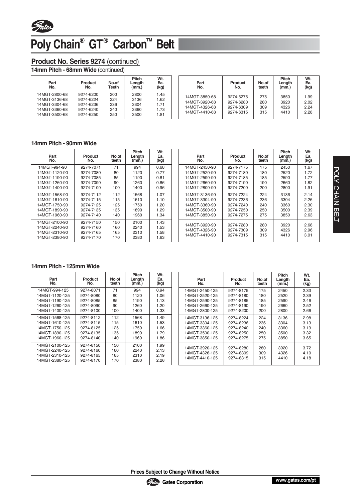

## Poly Chain<sup>®</sup> GT<sup>®</sup> Carbon<sup>™</sup> Belt

#### **Product No. Series 9274** *(continued)*

**14mm Pitch - 68mm Wide** *(continued)*

| Part<br>No.   | Product<br>No. | No.of<br><b>Teeth</b> | Pitch<br>Length<br>(mm.) | Wt.<br>Ea.<br>(kg) |
|---------------|----------------|-----------------------|--------------------------|--------------------|
| 14MGT-2800-68 | 9274-6200      | 200                   | 2800                     | 1.45               |
| 14MGT-3136-68 | 9274-6224      | 224                   | 3136                     | 1.62               |
| 14MGT-3304-68 | 9274-6236      | 236                   | 3304                     | 1.71               |
| 14MGT-3360-68 | 9274-6240      | 240                   | 3360                     | 1.73               |
| 14MGT-3500-68 | 9274-6250      | 250                   | 3500                     | 1.81               |

| Part<br>No.   | Product<br>No. | No.of<br>teeth | <b>Pitch</b><br>Length<br>(mm.) | Wt.<br>Ea.<br>(kg) |
|---------------|----------------|----------------|---------------------------------|--------------------|
| 14MGT-3850-68 | 9274-6275      | 275            | 3850                            | 1.99               |
| 14MGT-3920-68 | 9274-6280      | 280            | 3920                            | 2.02               |
| 14MGT-4326-68 | 9274-6309      | 309            | 4326                            | 2.24               |
| 14MGT-4410-68 | 9274-6315      | 315            | 4410                            | 2.28               |

#### **14mm Pitch - 90mm Wide**

| Part<br>No.   | Product<br>No. | No.of<br>teeth | <b>Pitch</b><br>Length<br>(mm.) | Wt.<br>Ea.<br>(kg) |
|---------------|----------------|----------------|---------------------------------|--------------------|
| 14MGT-994-90  | 9274-7071      | 71             | 994                             | 0.68               |
| 14MGT-1120-90 | 9274-7080      | 80             | 1120                            | 0.77               |
| 14MGT-1190-90 | 9274-7085      | 85             | 1190                            | 0.81               |
| 14MGT-1260-90 | 9274-7090      | 90             | 1260                            | 0.86               |
| 14MGT-1400-90 | 9274-7100      | 100            | 1400                            | 0.96               |
| 14MGT-1568-90 | 9274-7112      | 112            | 1568                            | 1.07               |
| 14MGT-1610-90 | 9274-7115      | 115            | 1610                            | 1.10               |
| 14MGT-1750-90 | 9274-7125      | 125            | 1750                            | 1.20               |
| 14MGT-1890-90 | 9274-7135      | 135            | 1890                            | 1.29               |
| 14MGT-1960-90 | 9274-7140      | 140            | 1960                            | 1.34               |
| 14MGT-2100-90 | 9274-7150      | 150            | 2100                            | 1.43               |
| 14MGT-2240-90 | 9274-7160      | 160            | 2240                            | 1.53               |
| 14MGT-2310-90 | 9274-7165      | 165            | 2310                            | 1.58               |
| 14MGT-2380-90 | 9274-7170      | 170            | 2380                            | 1.63               |

| Part<br>No.                    | Product<br>No.         | No.of<br>teeth | <b>Pitch</b><br>Length<br>(mm.) | Wt.<br>Ea.<br>(kg) |
|--------------------------------|------------------------|----------------|---------------------------------|--------------------|
| 14MGT-2450-90                  | 9274-7175              | 175            | 2450                            | 1.67               |
| 14MGT-2520-90                  | 9274-7180              | 180            | 2520                            | 1.72               |
| 14MGT-2590-90                  | 9274-7185              | 185            | 2590                            | 1.77               |
| 14MGT-2660-90                  | 9274-7190              | 190            | 2660                            | 1.82               |
| 14MGT-2800-90                  | 9274-7200              | 200            | 2800                            | 1.91               |
| 14MGT-3136-90                  | 9274-7224              | 224            | 3136                            | 2.14               |
| 14MGT-3304-90                  | 9274-7236              | 236            | 3304                            | 2.26               |
| 14MGT-3360-90                  | 9274-7240              | 240            | 3360                            | 2.30               |
| 14MGT-3500-90                  | 9274-7250              | 250            | 3500                            | 2.39               |
| 14MGT-3850-90                  | 9274-7275              | 275            | 3850                            | 2.63               |
| 14MGT-3920-90<br>14MGT-4326-90 | 9274-7280<br>9274-7309 | 280<br>309     | 3920<br>4326                    | 2.68<br>2.96       |
| 14MGT-4410-90                  | 9274-7315              | 315            | 4410                            | 3.01               |

#### **14mm Pitch - 125mm Wide**

| Part<br>No.                                                          | <b>Product</b><br>No.                            | No.of<br>teeth           | <b>Pitch</b><br>Length<br>(mm.) | Wt.<br>Ea.<br>(kg)           | Part<br>No.                                        | Product<br>No.                      | No.of<br>teeth    | <b>Pitch</b><br>Length<br>(mm.) | Wt.<br>Ea.<br>(kg)   |
|----------------------------------------------------------------------|--------------------------------------------------|--------------------------|---------------------------------|------------------------------|----------------------------------------------------|-------------------------------------|-------------------|---------------------------------|----------------------|
| 14MGT-994-125                                                        | 9274-8071                                        | 71                       | 994                             | 0.94                         | 14MGT-2450-125                                     | 9274-8175                           | 175               | 2450                            | 2.33                 |
| 14MGT-1120-125                                                       | 9274-8080                                        | 80                       | 1120                            | 1.06                         | 14MGT-2520-125                                     | 9274-8180                           | 180               | 2520                            | 2.39                 |
| 14MGT-1190-125                                                       | 9274-8085                                        | 85                       | 1190                            | 1.13                         | 14MGT-2590-125                                     | 9274-8185                           | 185               | 2590                            | 2.46                 |
| 14MGT-1260-125                                                       | 9274-8090                                        | 90                       | 1260                            | 1.20                         | 14MGT-2660-125                                     | 9274-8190                           | 190               | 2660                            | 2.52                 |
| 14MGT-1400-125                                                       | 9274-8100                                        | 100                      | 1400                            | 1.33                         | 14MGT-2800-125                                     | 9274-8200                           | 200               | 2800                            | 2.66                 |
| 14MGT-1568-125                                                       | 9274-8112                                        | 112                      | 1568                            | 1.49                         | 14MGT-3136-125                                     | 9274-8224                           | 224               | 3136                            | 2.98                 |
| 14MGT-1610-125                                                       | 9274-8115                                        | 115                      | 1610                            | 1.53                         | 14MGT-3304-125                                     | 9274-8236                           | 236               | 3304                            | 3.13                 |
| 14MGT-1750-125                                                       | 9274-8125                                        | 125                      | 1750                            | 1.66                         | 14MGT-3360-125                                     | 9274-8240                           | 240               | 3360                            | 3.19                 |
| 14MGT-1890-125                                                       | 9274-8135                                        | 135                      | 1890                            | 1.79                         | 14MGT-3500-125                                     | 9274-8250                           | 250               | 3500                            | 3.32                 |
| 14MGT-1960-125                                                       | 9274-8140                                        | 140                      | 1960                            | 1.86                         | 14MGT-3850-125                                     | 9274-8275                           | 275               | 3850                            | 3.65                 |
| 14MGT-2100-125<br>14MGT-2240-125<br>14MGT-2310-125<br>14MGT-2380-125 | 9274-8150<br>9274-8160<br>9274-8165<br>9274-8170 | 150<br>160<br>165<br>170 | 2100<br>2240<br>2310<br>2380    | 1.99<br>2.13<br>2.19<br>2.26 | 14MGT-3920-125<br>14MGT-4326-125<br>14MGT-4410-125 | 9274-8280<br>9274-8309<br>9274-8315 | 280<br>309<br>315 | 3920<br>4326<br>4410            | 3.72<br>4.10<br>4.18 |